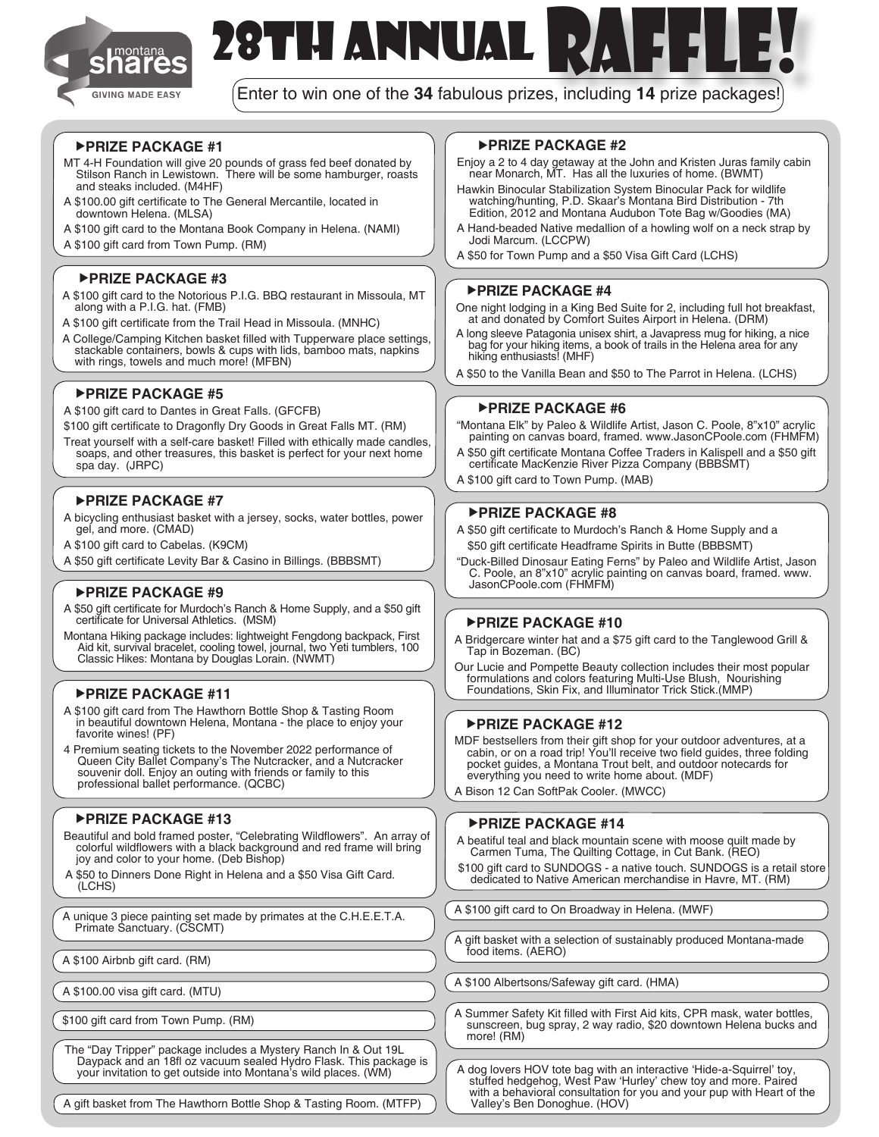

# 28TH ANNUAL RAFFLE!

Enter to win one of the **34** fabulous prizes, including **14** prize packages!

#### **PRIZE PACKAGE #1**

- MT 4-H Foundation will give 20 pounds of grass fed beef donated by Stilson Ranch in Lewistown. There will be some hamburger, roasts and steaks included. (M4HF)
- A \$100.00 gift certificate to The General Mercantile, located in downtown Helena. (MLSA)
- A \$100 gift card to the Montana Book Company in Helena. (NAMI)
- A \$100 gift card from Town Pump. (RM)

#### **PRIZE PACKAGE #3**

- A \$100 gift card to the Notorious P.I.G. BBQ restaurant in Missoula, MT along with a P.I.G. hat. (FMB)
- A \$100 gift certificate from the Trail Head in Missoula. (MNHC)
- A College/Camping Kitchen basket filled with Tupperware place settings, stackable containers, bowls & cups with lids, bamboo mats, napkins with rings, towels and much more! (MFBN)

#### **PRIZE PACKAGE #5**

A \$100 gift card to Dantes in Great Falls. (GFCFB)

- \$100 gift certificate to Dragonfly Dry Goods in Great Falls MT. (RM)
- Treat yourself with a self-care basket! Filled with ethically made candles, soaps, and other treasures, this basket is perfect for your next home spa day. (JRPC)

#### **PRIZE PACKAGE #7**

- A bicycling enthusiast basket with a jersey, socks, water bottles, power gel, and more. (CMAD)
- A \$100 gift card to Cabelas. (K9CM)
- A \$50 gift certificate Levity Bar & Casino in Billings. (BBBSMT)

#### **PRIZE PACKAGE #9**

- A \$50 gift certificate for Murdoch's Ranch & Home Supply, and a \$50 gift certificate for Universal Athletics. (MSM)
- Montana Hiking package includes: lightweight Fengdong backpack, First Aid kit, survival bracelet, cooling towel, journal, two Yeti tumblers, 100 Classic Hikes: Montana by Douglas Lorain. (NWMT)

#### **PRIZE PACKAGE #11**

- A \$100 gift card from The Hawthorn Bottle Shop & Tasting Room in beautiful downtown Helena, Montana - the place to enjoy your favorite wines! (PF)
- 4 Premium seating tickets to the November 2022 performance of Queen City Ballet Company's The Nutcracker, and a Nutcracker souvenir doll. Enjoy an outing with friends or family to this professional ballet performance. (QCBC)

#### **PRIZE PACKAGE #13**

- Beautiful and bold framed poster, "Celebrating Wildflowers". An array of colorful wildflowers with a black background and red frame will bring joy and color to your home. (Deb Bishop)
- A \$50 to Dinners Done Right in Helena and a \$50 Visa Gift Card. (LCHS)

A unique 3 piece painting set made by primates at the C.H.E.E.T.A. Primate Sanctuary. (CSCMT)

- A \$100 Airbnb gift card. (RM)
- 

\$100 gift card from Town Pump. (RM)

The "Day Tripper" package includes a Mystery Ranch In & Out 19L Daypack and an 18fl oz vacuum sealed Hydro Flask. This package is your invitation to get outside into Montana's wild places. (WM)

#### One night lodging in a King Bed Suite for 2, including full hot breakfast,

at and donated by Comfort Suites Airport in Helena. (DRM) A long sleeve Patagonia unisex shirt, a Javapress mug for hiking, a nice bag for your hiking items, a book of trails in the Helena area for any hiking enthusiasts! (MHF)

A \$50 for Town Pump and a \$50 Visa Gift Card (LCHS)

Enjoy a 2 to 4 day getaway at the John and Kristen Juras family cabin near Monarch, MT. Has all the luxuries of home. (BWMT) Hawkin Binocular Stabilization System Binocular Pack for wildlife watching/hunting, P.D. Skaar's Montana Bird Distribution - 7th Edition, 2012 and Montana Audubon Tote Bag w/Goodies (MA) A Hand-beaded Native medallion of a howling wolf on a neck strap by

A \$50 to the Vanilla Bean and \$50 to The Parrot in Helena. (LCHS)

#### **PRIZE PACKAGE #6**

**PRIZE PACKAGE #4**

Jodi Marcum. (LCCPW)

**PRIZE PACKAGE #2**

- "Montana Elk" by Paleo & Wildlife Artist, Jason C. Poole, 8"x10" acrylic painting on canvas board, framed. www.JasonCPoole.com (FHMFM)
- A \$50 gift certificate Montana Coffee Traders in Kalispell and a \$50 gift certificate MacKenzie River Pizza Company (BBBSMT)
- A \$100 gift card to Town Pump. (MAB)

#### **PRIZE PACKAGE #8**

- A \$50 gift certificate to Murdoch's Ranch & Home Supply and a \$50 gift certificate Headframe Spirits in Butte (BBBSMT)
- "Duck-Billed Dinosaur Eating Ferns" by Paleo and Wildlife Artist, Jason C. Poole, an 8"x10" acrylic painting on canvas board, framed. www. JasonCPoole.com (FHMFM)

#### **PRIZE PACKAGE #10**

- A Bridgercare winter hat and a \$75 gift card to the Tanglewood Grill & Tap in Bozeman. (BC)
- Our Lucie and Pompette Beauty collection includes their most popular formulations and colors featuring Multi-Use Blush, Nourishing Foundations, Skin Fix, and Illuminator Trick Stick.(MMP)

#### **PRIZE PACKAGE #12**

MDF bestsellers from their gift shop for your outdoor adventures, at a cabin, or on a road trip! You'll receive two field guides, three folding pocket guides, a Montana Trout belt, and outdoor notecards for everything you need to write home about. (MDF)

A Bison 12 Can SoftPak Cooler. (MWCC)

#### **PRIZE PACKAGE #14**

- A beatiful teal and black mountain scene with moose quilt made by Carmen Tuma, The Quilting Cottage, in Cut Bank. (REO)
- \$100 gift card to SUNDOGS a native touch. SUNDOGS is a retail store dedicated to Native American merchandise in Havre, MT. (RM)

A \$100 gift card to On Broadway in Helena. (MWF)

A gift basket with a selection of sustainably produced Montana-made food items. (AERO)

A \$100.00 visa gift card. (MTU) (A \$100 Albertsons/Safeway gift card. (HMA)

A Summer Safety Kit filled with First Aid kits, CPR mask, water bottles, sunscreen, bug spray, 2 way radio, \$20 downtown Helena bucks and more! (RM)

A dog lovers HOV tote bag with an interactive 'Hide-a-Squirrel' toy, stuffed hedgehog, West Paw 'Hurley' chew toy and more. Paired with a behavioral consultation for you and your pup with Heart of the Valley's Ben Donoghue. (HOV)

A gift basket from The Hawthorn Bottle Shop & Tasting Room. (MTFP)